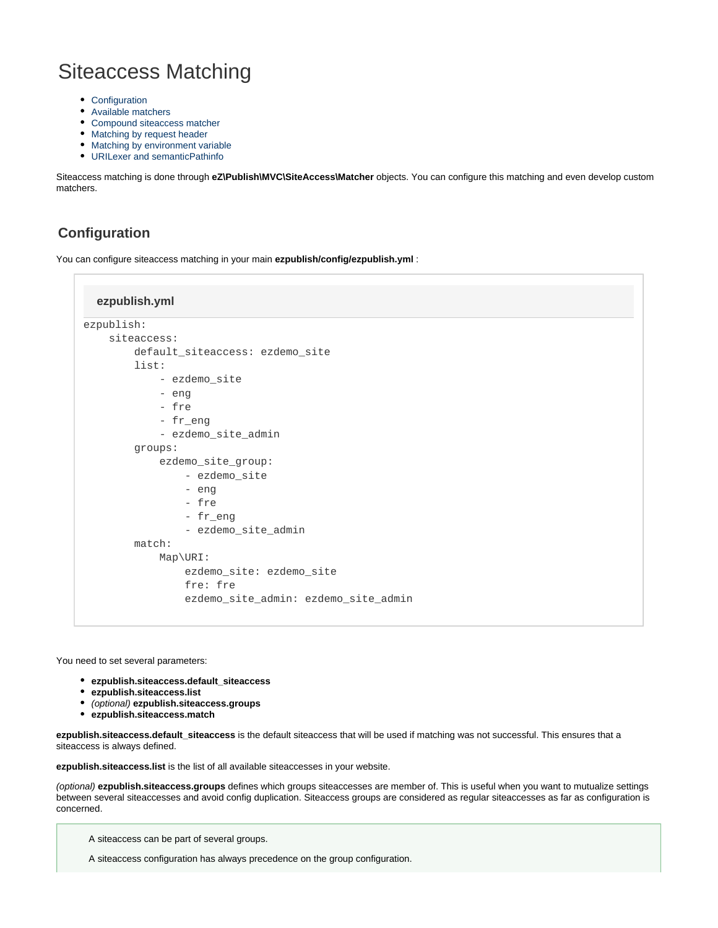# Siteaccess Matching

- [Configuration](#page-0-0)
- [Available matchers](#page-1-0)
- [Compound siteaccess matcher](#page-3-0)
- [Matching by request header](#page-4-0)
- [Matching by environment variable](#page-4-1)
- [URILexer and semanticPathinfo](#page-5-0)

Siteaccess matching is done through **eZ\Publish\MVC\SiteAccess\Matcher** objects. You can configure this matching and even develop custom matchers.

# <span id="page-0-0"></span>**Configuration**

You can configure siteaccess matching in your main **ezpublish/config/ezpublish.yml** :

#### **ezpublish.yml**

```
ezpublish:
     siteaccess:
         default_siteaccess: ezdemo_site
         list:
              - ezdemo_site
              - eng
              - fre
              - fr_eng
              - ezdemo_site_admin
         groups:
              ezdemo_site_group:
                  - ezdemo_site
                  - eng
                  - fre
                  - fr_eng
                  - ezdemo_site_admin
         match:
              Map\URI:
                  ezdemo_site: ezdemo_site
                  fre: fre
                  ezdemo_site_admin: ezdemo_site_admin
```
You need to set several parameters:

- **ezpublish.siteaccess.default\_siteaccess**
- **ezpublish.siteaccess.list**
- (optional) **ezpublish.siteaccess.groups**
- **ezpublish.siteaccess.match**

**ezpublish.siteaccess.default\_siteaccess** is the default siteaccess that will be used if matching was not successful. This ensures that a siteaccess is always defined.

**ezpublish.siteaccess.list** is the list of all available siteaccesses in your website.

(optional) **ezpublish.siteaccess.groups** defines which groups siteaccesses are member of. This is useful when you want to mutualize settings between several siteaccesses and avoid config duplication. Siteaccess groups are considered as regular siteaccesses as far as configuration is concerned.

A siteaccess can be part of several groups.

A siteaccess configuration has always precedence on the group configuration.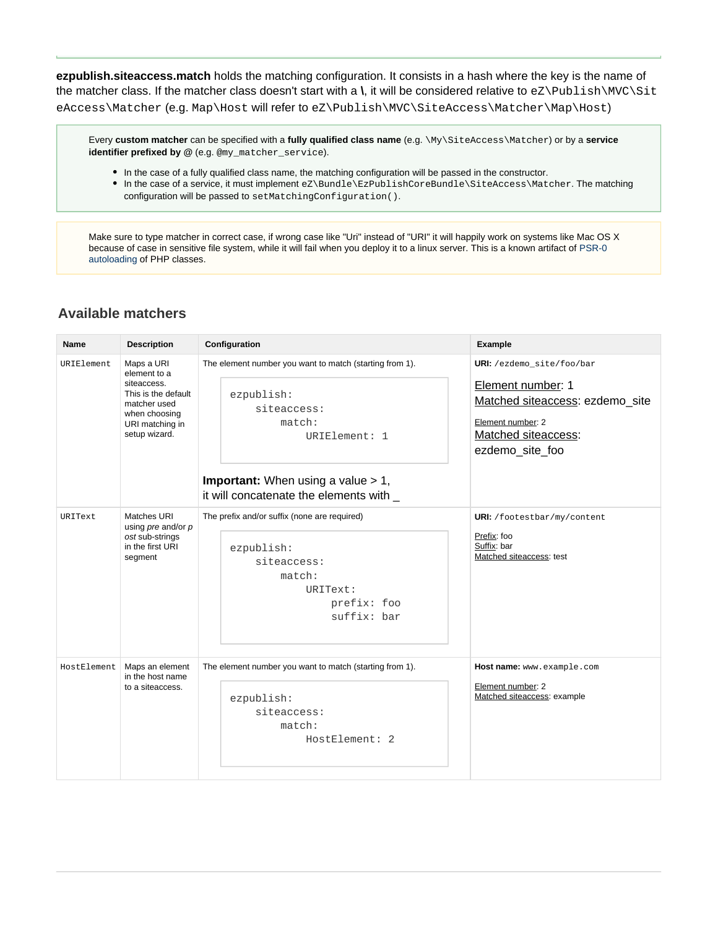**ezpublish.siteaccess.match** holds the matching configuration. It consists in a hash where the key is the name of the matcher class. If the matcher class doesn't start with a **\**, it will be considered relative to eZ\Publish\MVC\Sit eAccess\Matcher (e.g. Map\Host will refer to eZ\Publish\MVC\SiteAccess\Matcher\Map\Host)

Every **custom matcher** can be specified with a **fully qualified class name** (e.g. \My\SiteAccess\Matcher) or by a **service identifier prefixed by @** (e.g. @my\_matcher\_service).

- In the case of a fully qualified class name, the matching configuration will be passed in the constructor.
- In the case of a service, it must implement eZ\Bundle\EzPublishCoreBundle\SiteAccess\Matcher. The matching configuration will be passed to setMatchingConfiguration().

Make sure to type matcher in correct case, if wrong case like "Uri" instead of "URI" it will happily work on systems like Mac OS X because of case in sensitive file system, while it will fail when you deploy it to a linux server. This is a known artifact of [PSR-0](http://www.php-fig.org/psr/psr-0/) [autoloading](http://www.php-fig.org/psr/psr-0/) of PHP classes.

# <span id="page-1-0"></span>**Available matchers**

| Name        | <b>Description</b>                                                                                                                    | Configuration                                                                                                                                                                                            | <b>Example</b>                                                                                                                                   |
|-------------|---------------------------------------------------------------------------------------------------------------------------------------|----------------------------------------------------------------------------------------------------------------------------------------------------------------------------------------------------------|--------------------------------------------------------------------------------------------------------------------------------------------------|
| URIElement  | Maps a URI<br>element to a<br>siteaccess.<br>This is the default<br>matcher used<br>when choosing<br>URI matching in<br>setup wizard. | The element number you want to match (starting from 1).<br>ezpublish:<br>siteaccess:<br>match:<br>URIElement: 1<br><b>Important:</b> When using a value $> 1$ ,<br>it will concatenate the elements with | URI: /ezdemo_site/foo/bar<br>Element number: 1<br>Matched siteaccess: ezdemo_site<br>Element number: 2<br>Matched siteaccess:<br>ezdemo_site_foo |
| URIText     | Matches URI<br>using $pre$ and/or $p$<br>ost sub-strings<br>in the first URI<br>segment                                               | The prefix and/or suffix (none are required)<br>ezpublish:<br>siteaccess:<br>match:<br>URIText:<br>prefix: foo<br>suffix: bar                                                                            | <b>URI:</b> /footestbar/my/content<br>Prefix: foo<br>Suffix: bar<br>Matched siteaccess: test                                                     |
| HostElement | Maps an element<br>in the host name<br>to a siteaccess.                                                                               | The element number you want to match (starting from 1).<br>ezpublish:<br>siteaccess:<br>match:<br>HostElement: 2                                                                                         | Host name: www.example.com<br>Element number: 2<br>Matched siteaccess: example                                                                   |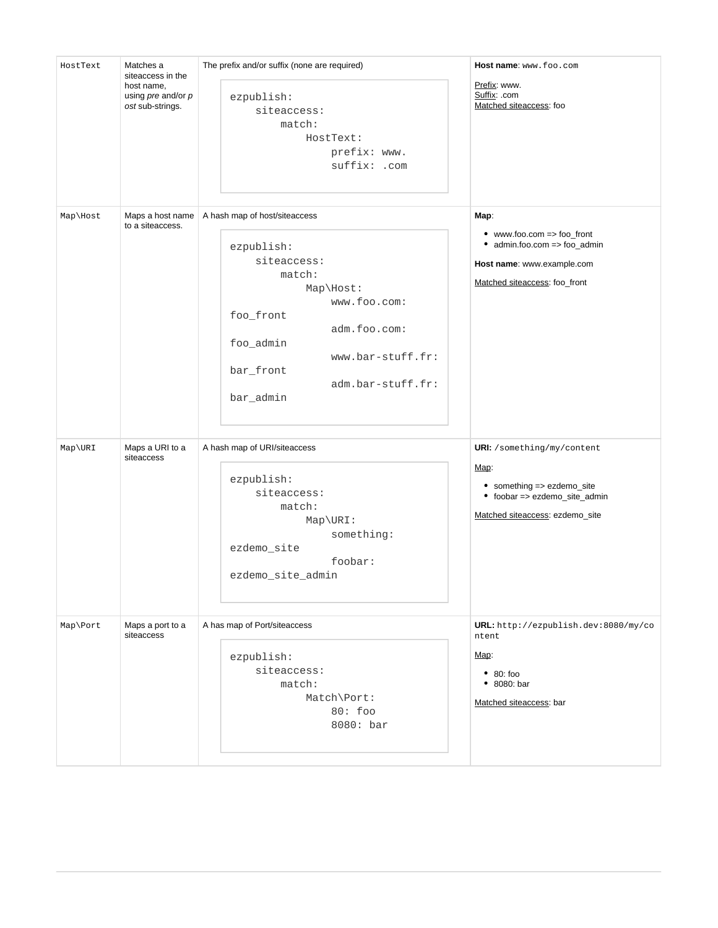| HostText | Matches a<br>siteaccess in the                           | The prefix and/or suffix (none are required)                                                                                                                                                                    | Host name: www.foo.com                                                                                                                      |
|----------|----------------------------------------------------------|-----------------------------------------------------------------------------------------------------------------------------------------------------------------------------------------------------------------|---------------------------------------------------------------------------------------------------------------------------------------------|
|          | host name,<br>using $pre$ and/or $p$<br>ost sub-strings. | ezpublish:<br>siteaccess:<br>match:<br>HostText:<br>prefix: www.<br>suffix: .com                                                                                                                                | Prefix: www.<br>Suffix: .com<br>Matched siteaccess: foo                                                                                     |
| Map\Host | Maps a host name<br>to a siteaccess.                     | A hash map of host/siteaccess<br>ezpublish:<br>siteaccess:<br>match:<br>Map\Host:<br>www.foo.com:<br>foo_front<br>adm.foo.com:<br>foo_admin<br>www.bar-stuff.fr:<br>bar_front<br>adm.bar-stuff.fr:<br>bar_admin | Map:<br>$\bullet$ www.foo.com => foo_front<br>• admin.foo.com => foo_admin<br>Host name: www.example.com<br>Matched siteaccess: foo_front   |
| Map\URI  | Maps a URI to a<br>siteaccess                            | A hash map of URI/siteaccess<br>ezpublish:<br>siteaccess:<br>match:<br>$Map\text{URL}:$<br>something:<br>ezdemo_site<br>foobar:<br>ezdemo_site_admin                                                            | <b>URI:</b> /something/my/content<br>Map:<br>• something => ezdemo_site<br>• foobar => ezdemo_site_admin<br>Matched siteaccess: ezdemo_site |
| Map\Port | Maps a port to a<br>siteaccess                           | A has map of Port/siteaccess<br>ezpublish:<br>siteaccess:<br>match:<br>Match\Port:<br>80: foo<br>8080: bar                                                                                                      | URL: http://ezpublish.dev:8080/my/co<br>ntent<br>Map:<br>• 80:100<br>• 8080: bar<br>Matched siteaccess: bar                                 |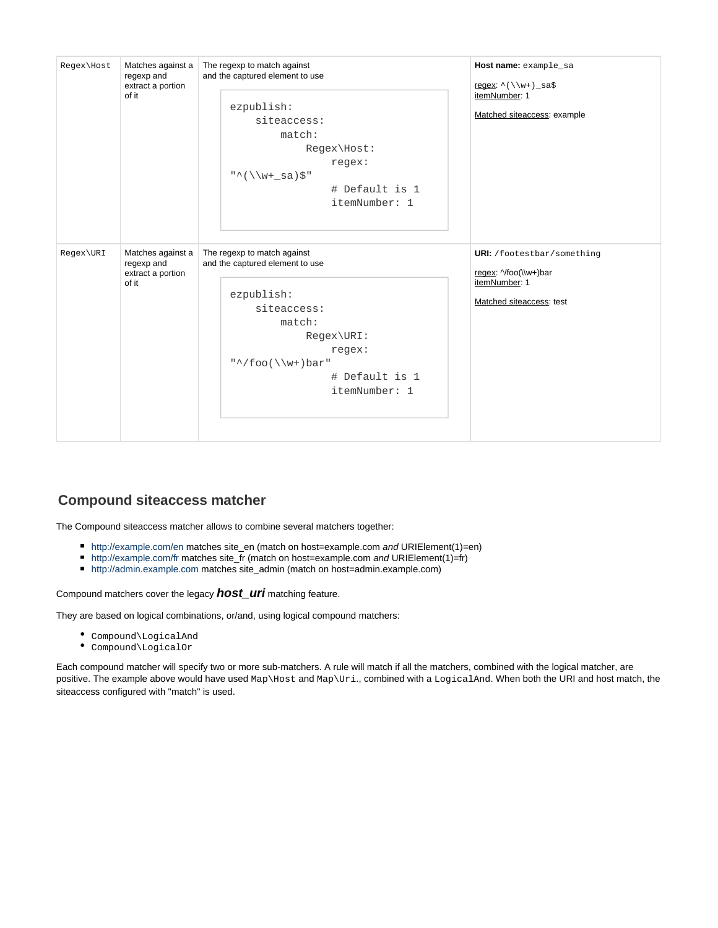| Regex\Host | Matches against a<br>regexp and<br>extract a portion          | The regexp to match against<br>and the captured element to use                                                                                                                                 | Host name: example_sa<br>regex: $\wedge$ ( \ \w+ ) _sa\$                                                |
|------------|---------------------------------------------------------------|------------------------------------------------------------------------------------------------------------------------------------------------------------------------------------------------|---------------------------------------------------------------------------------------------------------|
|            | of it                                                         | ezpublish:<br>siteaccess:<br>match:<br>Regex\Host:<br>regex:<br>$"\warrow$ (\\w+_sa)\$"<br># Default is 1<br>itemNumber: 1                                                                     | itemNumber: 1<br>Matched siteaccess: example                                                            |
| Regex\URI  | Matches against a<br>regexp and<br>extract a portion<br>of it | The regexp to match against<br>and the captured element to use<br>ezpublish:<br>siteaccess:<br>match:<br>Regex\URI:<br>regex:<br>$"\uparrow$ /foo(\\w+)bar"<br># Default is 1<br>itemNumber: 1 | <b>URI:</b> /footestbar/something<br>regex: ^/foo(\\w+)bar<br>itemNumber: 1<br>Matched siteaccess: test |

## <span id="page-3-0"></span>**Compound siteaccess matcher**

The Compound siteaccess matcher allows to combine several matchers together:

- <http://example.com/en>matches site\_en (match on host=example.com and URIElement(1)=en)
- <http://example.com/fr>matches site\_fr (match on host=example.com and URIElement(1)=fr)
- <http://admin.example.com> matches site\_admin (match on host=admin.example.com)

#### Compound matchers cover the legacy **host\_uri** matching feature.

They are based on logical combinations, or/and, using logical compound matchers:

- Compound\LogicalAnd
- Compound\LogicalOr

Each compound matcher will specify two or more sub-matchers. A rule will match if all the matchers, combined with the logical matcher, are positive. The example above would have used Map\Host and Map\Uri., combined with a LogicalAnd. When both the URI and host match, the siteaccess configured with "match" is used.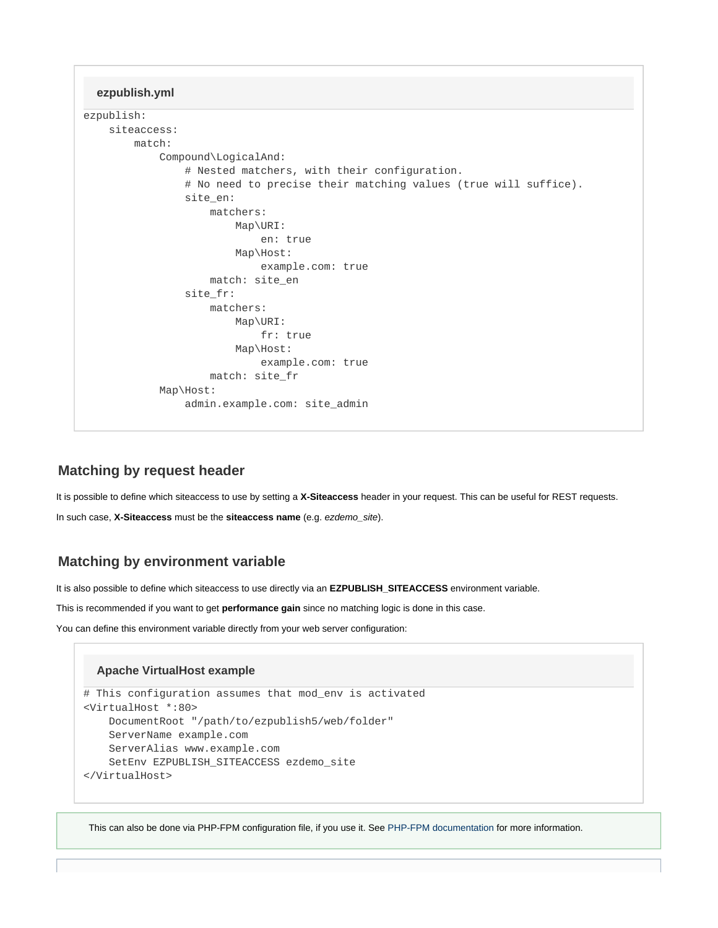**ezpublish.yml**

```
ezpublish:
```

```
 siteaccess:
     match:
         Compound\LogicalAnd:
              # Nested matchers, with their configuration.
              # No need to precise their matching values (true will suffice).
             site en:
                 matchers:
                      Map\URI:
                          en: true
                      Map\Host:
                          example.com: true
                  match: site_en
              site_fr:
                  matchers:
                      Map\URI:
                          fr: true
                      Map\Host:
                          example.com: true
                  match: site_fr
         Map\Host:
              admin.example.com: site_admin
```
## <span id="page-4-0"></span>**Matching by request header**

It is possible to define which siteaccess to use by setting a **X-Siteaccess** header in your request. This can be useful for REST requests.

In such case, **X-Siteaccess** must be the **siteaccess name** (e.g. ezdemo\_site).

## <span id="page-4-1"></span>**Matching by environment variable**

It is also possible to define which siteaccess to use directly via an **EZPUBLISH\_SITEACCESS** environment variable.

This is recommended if you want to get **performance gain** since no matching logic is done in this case.

You can define this environment variable directly from your web server configuration:

#### **Apache VirtualHost example**

```
# This configuration assumes that mod_env is activated
<VirtualHost *:80>
     DocumentRoot "/path/to/ezpublish5/web/folder"
     ServerName example.com
     ServerAlias www.example.com
     SetEnv EZPUBLISH_SITEACCESS ezdemo_site
</VirtualHost>
```
This can also be done via PHP-FPM configuration file, if you use it. See [PHP-FPM documentation](http://php.net/manual/en/install.fpm.configuration.php#example-60) for more information.